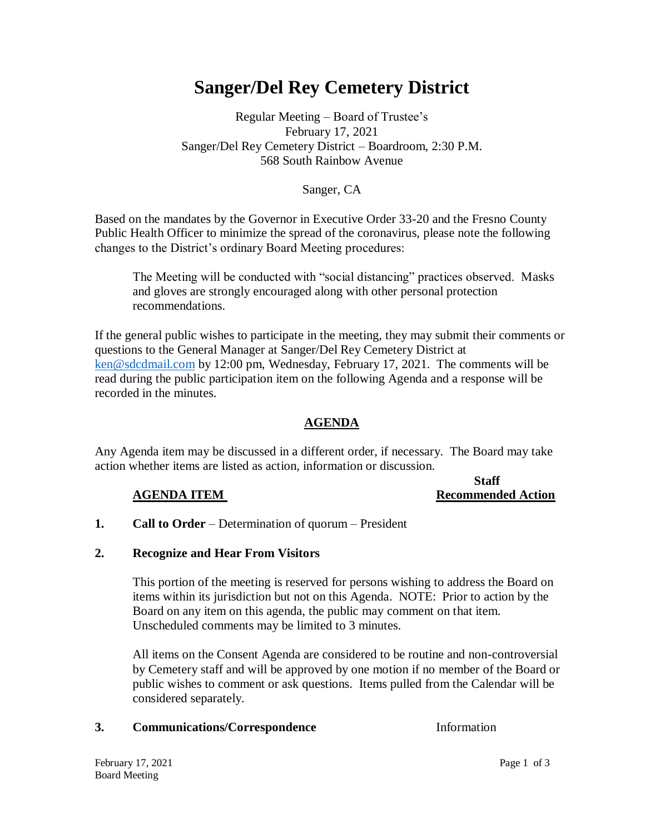# **Sanger/Del Rey Cemetery District**

# Regular Meeting – Board of Trustee's February 17, 2021 Sanger/Del Rey Cemetery District – Boardroom, 2:30 P.M. 568 South Rainbow Avenue

### Sanger, CA

Based on the mandates by the Governor in Executive Order 33-20 and the Fresno County Public Health Officer to minimize the spread of the coronavirus, please note the following changes to the District's ordinary Board Meeting procedures:

The Meeting will be conducted with "social distancing" practices observed. Masks and gloves are strongly encouraged along with other personal protection recommendations.

If the general public wishes to participate in the meeting, they may submit their comments or questions to the General Manager at Sanger/Del Rey Cemetery District at [ken@sdcdmail.com](mailto:ken@sdcdmail.com) by 12:00 pm, Wednesday, February 17, 2021. The comments will be read during the public participation item on the following Agenda and a response will be recorded in the minutes.

## **AGENDA**

Any Agenda item may be discussed in a different order, if necessary. The Board may take action whether items are listed as action, information or discussion.

#### **Staff AGENDA ITEM** Recommended Action

**1. Call to Order** – Determination of quorum – President

#### **2. Recognize and Hear From Visitors**

This portion of the meeting is reserved for persons wishing to address the Board on items within its jurisdiction but not on this Agenda. NOTE: Prior to action by the Board on any item on this agenda, the public may comment on that item. Unscheduled comments may be limited to 3 minutes.

All items on the Consent Agenda are considered to be routine and non-controversial by Cemetery staff and will be approved by one motion if no member of the Board or public wishes to comment or ask questions. Items pulled from the Calendar will be considered separately.

#### **3. Communications/Correspondence** Information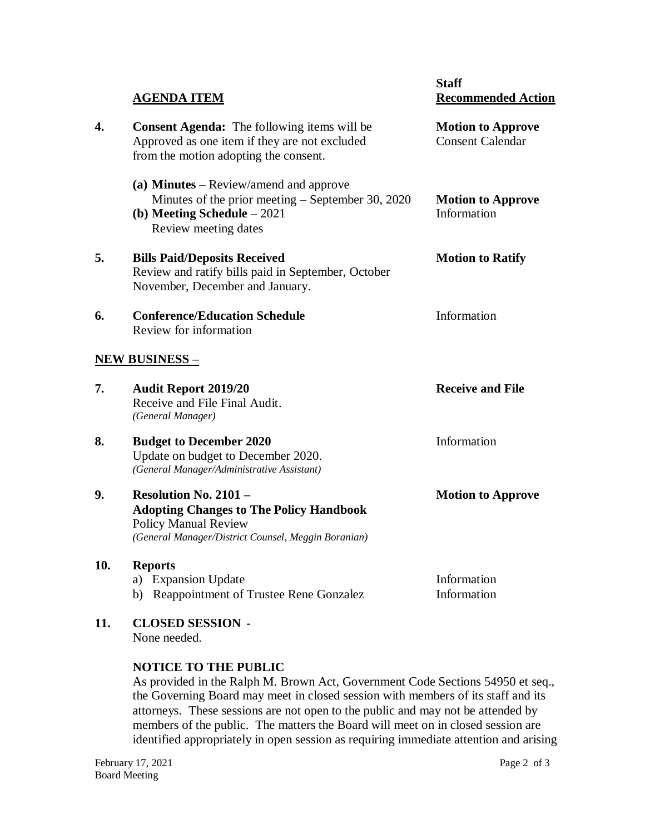|     | <b>AGENDA ITEM</b>                                                                                                                                                   | <b>Staff</b><br><b>Recommended Action</b>           |
|-----|----------------------------------------------------------------------------------------------------------------------------------------------------------------------|-----------------------------------------------------|
| 4.  | <b>Consent Agenda:</b> The following items will be<br>Approved as one item if they are not excluded<br>from the motion adopting the consent.                         | <b>Motion to Approve</b><br><b>Consent Calendar</b> |
|     | (a) Minutes – Review/amend and approve<br>Minutes of the prior meeting – September 30, 2020<br>(b) Meeting Schedule $-2021$<br>Review meeting dates                  | <b>Motion to Approve</b><br>Information             |
| 5.  | <b>Bills Paid/Deposits Received</b><br>Review and ratify bills paid in September, October<br>November, December and January.                                         | <b>Motion to Ratify</b>                             |
| 6.  | <b>Conference/Education Schedule</b><br>Review for information                                                                                                       | Information                                         |
|     | <u>NEW BUSINESS – </u>                                                                                                                                               |                                                     |
| 7.  | <b>Audit Report 2019/20</b><br>Receive and File Final Audit.<br>(General Manager)                                                                                    | <b>Receive and File</b>                             |
| 8.  | <b>Budget to December 2020</b><br>Update on budget to December 2020.<br>(General Manager/Administrative Assistant)                                                   | Information                                         |
| 9.  | <b>Resolution No. 2101 -</b><br><b>Adopting Changes to The Policy Handbook</b><br><b>Policy Manual Review</b><br>(General Manager/District Counsel, Meggin Boranian) | <b>Motion to Approve</b>                            |
| 10. | <b>Reports</b><br>a) Expansion Update<br>b) Reappointment of Trustee Rene Gonzalez                                                                                   | Information<br>Information                          |
|     |                                                                                                                                                                      |                                                     |

**11. CLOSED SESSION -** None needed.

#### **NOTICE TO THE PUBLIC**

As provided in the Ralph M. Brown Act, Government Code Sections 54950 et seq., the Governing Board may meet in closed session with members of its staff and its attorneys. These sessions are not open to the public and may not be attended by members of the public. The matters the Board will meet on in closed session are identified appropriately in open session as requiring immediate attention and arising